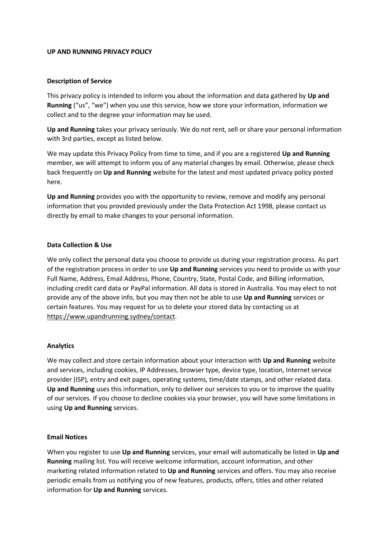### **UP AND RUNNING PRIVACY POLICY**

### **Description of Service**

This privacy policy is intended to inform you about the information and data gathered by **Up and Running** ("us", "we") when you use this service, how we store your information, information we collect and to the degree your information may be used.

**Up and Running** takes your privacy seriously. We do not rent, sell or share your personal information with 3rd parties, except as listed below.

We may update this Privacy Policy from time to time, and if you are a registered **Up and Running** member, we will attempt to inform you of any material changes by email. Otherwise, please check back frequently on **Up and Running** website for the latest and most updated privacy policy posted here.

**Up and Running** provides you with the opportunity to review, remove and modify any personal information that you provided previously under the Data Protection Act 1998, please contact us directly by email to make changes to your personal information.

### **Data Collection & Use**

We only collect the personal data you choose to provide us during your registration process. As part of the registration process in order to use **Up and Running** services you need to provide us with your Full Name, Address, Email Address, Phone, Country, State, Postal Code, and Billing information, including credit card data or PayPal information. All data is stored in Australia. You may elect to not provide any of the above info, but you may then not be able to use **Up and Running** services or certain features. You may request for us to delete your stored data by contacting us at [https://www.upandrunning.sydney/contact.](https://www.upandrunning.sydney/contact)

#### **Analytics**

We may collect and store certain information about your interaction with **Up and Running** website and services, including cookies, IP Addresses, browser type, device type, location, Internet service provider (ISP), entry and exit pages, operating systems, time/date stamps, and other related data. **Up and Running** uses this information, only to deliver our services to you or to improve the quality of our services. If you choose to decline cookies via your browser, you will have some limitations in using **Up and Running** services.

#### **Email Notices**

When you register to use **Up and Running** services, your email will automatically be listed in **Up and Running** mailing list. You will receive welcome information, account information, and other marketing related information related to **Up and Running** services and offers. You may also receive periodic emails from us notifying you of new features, products, offers, titles and other related information for **Up and Running** services.